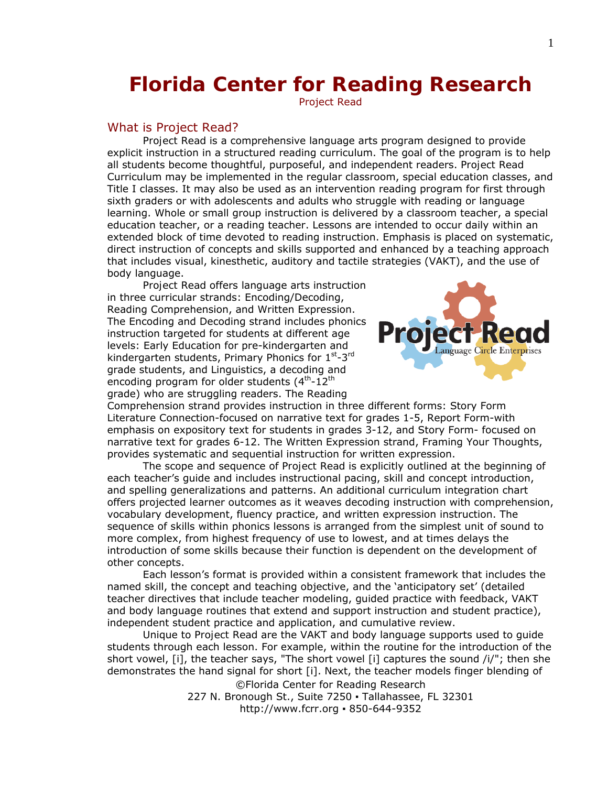# **Florida Center for Reading Research**

Project Read

## What is Project Read?

*Project Read* is a comprehensive language arts program designed to provide explicit instruction in a structured reading curriculum. The goal of the program is to help all students become thoughtful, purposeful, and independent readers. *Project Read* Curriculum may be implemented in the regular classroom, special education classes, and Title I classes. It may also be used as an intervention reading program for first through sixth graders or with adolescents and adults who struggle with reading or language learning. Whole or small group instruction is delivered by a classroom teacher, a special education teacher, or a reading teacher. Lessons are intended to occur daily within an extended block of time devoted to reading instruction. Emphasis is placed on systematic, direct instruction of concepts and skills supported and enhanced by a teaching approach that includes visual, kinesthetic, auditory and tactile strategies (VAKT), and the use of body language.

*Project Read* offers language arts instruction in three curricular strands: Encoding/Decoding, Reading Comprehension, and Written Expression. The Encoding and Decoding strand includes phonics instruction targeted for students at different age levels: Early Education for pre-kindergarten and kindergarten students, Primary Phonics for 1st-3rd grade students, and Linguistics, a decoding and encoding program for older students  $(4<sup>th</sup>-12<sup>th</sup>)$ grade) who are struggling readers. The Reading



Comprehension strand provides instruction in three different forms: Story Form Literature Connection-focused on narrative text for grades 1-5, Report Form-with emphasis on expository text for students in grades 3-12, and Story Form- focused on narrative text for grades 6-12. The Written Expression strand, Framing Your Thoughts, provides systematic and sequential instruction for written expression.

The scope and sequence of *Project Read* is explicitly outlined at the beginning of each teacher's guide and includes instructional pacing, skill and concept introduction, and spelling generalizations and patterns. An additional curriculum integration chart offers projected learner outcomes as it weaves decoding instruction with comprehension, vocabulary development, fluency practice, and written expression instruction. The sequence of skills within phonics lessons is arranged from the simplest unit of sound to more complex, from highest frequency of use to lowest, and at times delays the introduction of some skills because their function is dependent on the development of other concepts.

Each lesson's format is provided within a consistent framework that includes the named skill, the concept and teaching objective, and the 'anticipatory set' (detailed teacher directives that include teacher modeling, guided practice with feedback, VAKT and body language routines that extend and support instruction and student practice), independent student practice and application, and cumulative review.

Unique to *Project Read* are the VAKT and body language supports used to guide students through each lesson. For example, within the routine for the introduction of the short vowel, [i], the teacher says, "The short vowel [i] captures the sound  $\frac{1}{r}$ ; then she demonstrates the hand signal for short [i]. Next, the teacher models finger blending of ©Florida Center for Reading Research

> 227 N. Bronough St., Suite 7250 · Tallahassee, FL 32301 http://www.fcrr.org ▪ 850-644-9352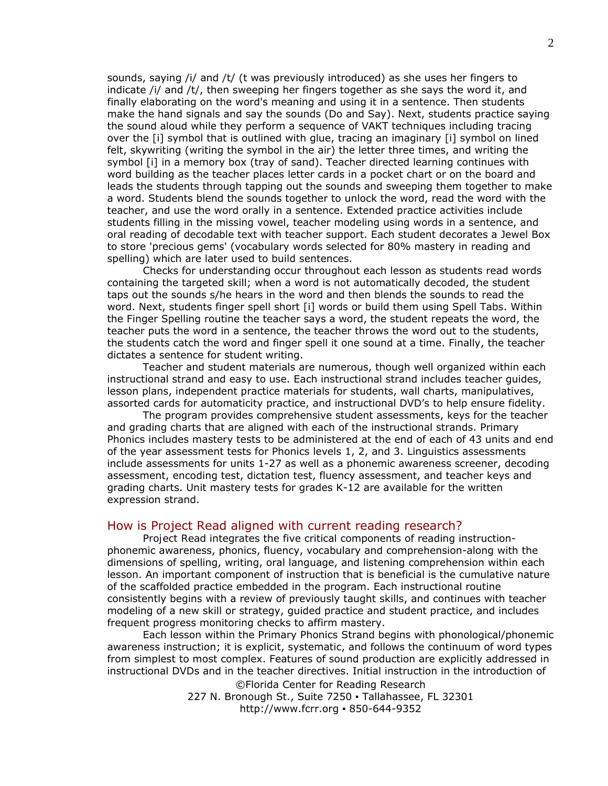sounds, saying /i/ and /t/ (t was previously introduced) as she uses her fingers to indicate /i/ and /t/, then sweeping her fingers together as she says the word *it*, and finally elaborating on the word's meaning and using it in a sentence. Then students make the hand signals and say the sounds (Do and Say). Next, students practice saying the sound aloud while they perform a sequence of VAKT techniques including tracing over the [i] symbol that is outlined with glue, tracing an imaginary [i] symbol on lined felt, skywriting (writing the symbol in the air) the letter three times, and writing the symbol [i] in a memory box (tray of sand). Teacher directed learning continues with word building as the teacher places letter cards in a pocket chart or on the board and leads the students through tapping out the sounds and sweeping them together to make a word. Students blend the sounds together to unlock the word, read the word with the teacher, and use the word orally in a sentence. Extended practice activities include students filling in the missing vowel, teacher modeling using words in a sentence, and oral reading of decodable text with teacher support. Each student decorates a Jewel Box to store 'precious gems' (vocabulary words selected for 80% mastery in reading and spelling) which are later used to build sentences.

Checks for understanding occur throughout each lesson as students read words containing the targeted skill; when a word is not automatically decoded, the student taps out the sounds s/he hears in the word and then blends the sounds to read the word. Next, students finger spell short [i] words or build them using Spell Tabs. Within the Finger Spelling routine the teacher says a word, the student repeats the word, the teacher puts the word in a sentence, the teacher throws the word out to the students, the students catch the word and finger spell it one sound at a time. Finally, the teacher dictates a sentence for student writing.

 Teacher and student materials are numerous, though well organized within each instructional strand and easy to use. Each instructional strand includes teacher guides, lesson plans, independent practice materials for students, wall charts, manipulatives, assorted cards for automaticity practice, and instructional DVD's to help ensure fidelity.

The program provides comprehensive student assessments, keys for the teacher and grading charts that are aligned with each of the instructional strands. Primary Phonics includes mastery tests to be administered at the end of each of 43 units and end of the year assessment tests for Phonics levels 1, 2, and 3. Linguistics assessments include assessments for units 1-27 as well as a phonemic awareness screener, decoding assessment, encoding test, dictation test, fluency assessment, and teacher keys and grading charts. Unit mastery tests for grades K-12 are available for the written expression strand.

## How is Project Read aligned with current reading research?

*Project Read* integrates the five critical components of reading instructionphonemic awareness, phonics, fluency, vocabulary and comprehension-along with the dimensions of spelling, writing, oral language, and listening comprehension within each lesson. An important component of instruction that is beneficial is the cumulative nature of the scaffolded practice embedded in the program. Each instructional routine consistently begins with a review of previously taught skills, and continues with teacher modeling of a new skill or strategy, guided practice and student practice, and includes frequent progress monitoring checks to affirm mastery.

©Florida Center for Reading Research Each lesson within the Primary Phonics Strand begins with phonological/phonemic awareness instruction; it is explicit, systematic, and follows the continuum of word types from simplest to most complex. Features of sound production are explicitly addressed in instructional DVDs and in the teacher directives. Initial instruction in the introduction of

227 N. Bronough St., Suite 7250 · Tallahassee, FL 32301 http://www.fcrr.org ▪ 850-644-9352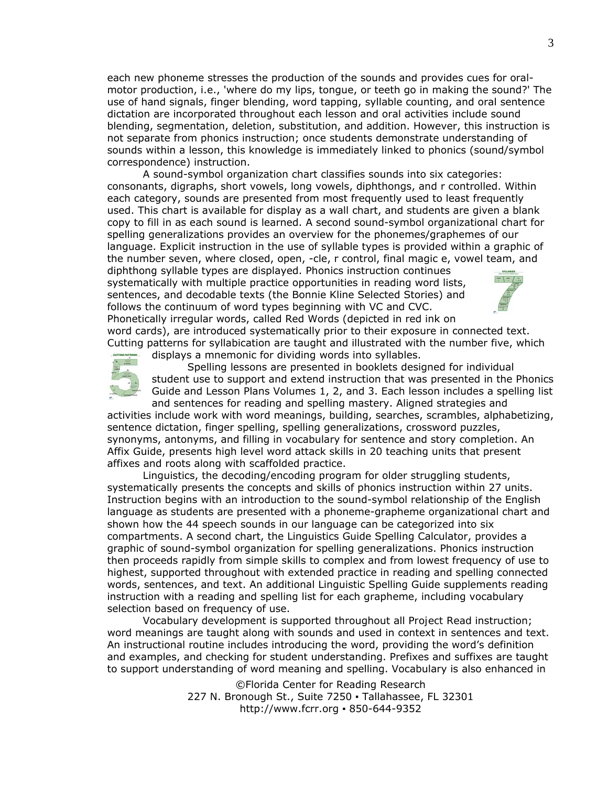each new phoneme stresses the production of the sounds and provides cues for oralmotor production, i.e., 'where do my lips, tongue, or teeth go in making the sound?' The use of hand signals, finger blending, word tapping, syllable counting, and oral sentence dictation are incorporated throughout each lesson and oral activities include sound blending, segmentation, deletion, substitution, and addition. However, this instruction is not separate from phonics instruction; once students demonstrate understanding of sounds within a lesson, this knowledge is immediately linked to phonics (sound/symbol correspondence) instruction.

A sound-symbol organization chart classifies sounds into six categories: consonants, digraphs, short vowels, long vowels, diphthongs, and r controlled. Within each category, sounds are presented from most frequently used to least frequently used. This chart is available for display as a wall chart, and students are given a blank copy to fill in as each sound is learned. A second sound-symbol organizational chart for spelling generalizations provides an overview for the phonemes/graphemes of our language. Explicit instruction in the use of syllable types is provided within a graphic of the number seven, where closed, open, -cle, r control, final magic e, vowel team, and

diphthong syllable types are displayed. Phonics instruction continues systematically with multiple practice opportunities in reading word lists, sentences, and decodable texts (the Bonnie Kline Selected Stories) [and](http://www.projectread.com/images/prodimage_48.jpg)  follows the continuum of word types beginning with VC and CVC. Phonetically irregular words, called Red Words (depicted in red ink on



word cards), are introduced systematically prior to their exposure in connected text. *[C](http://www.projectread.com/images/prodimage_49.jpg)utting* patterns for syllabication are taught and illustrated with the number five, which displays a mnemonic for dividing words into syllables.



Spelling lessons are presented in booklets designed for individual student use to support and extend instruction that was presented in the Phonics Guide and Lesson Plans Volumes 1, 2, and 3. Each lesson includes a spelling list and sentences for reading and spelling mastery. Aligned strategies and

activities include work with word meanings, building, searches, scrambles, alphabetizing, sentence dictation, finger spelling, spelling generalizations, crossword puzzles, synonyms, antonyms, and filling in vocabulary for sentence and story completion. An Affix Guide, presents high level word attack skills in 20 teaching units that present affixes and roots along with scaffolded practice.

 Linguistics, the decoding/encoding program for older struggling students, systematically presents the concepts and skills of phonics instruction within 27 units. Instruction begins with an introduction to the sound-symbol relationship of the English language as students are presented with a phoneme-grapheme organizational chart and shown how the 44 speech sounds in our language can be categorized into six compartments. A second chart, the Linguistics Guide Spelling Calculator, provides a graphic of sound-symbol organization for spelling generalizations. Phonics instruction then proceeds rapidly from simple skills to complex and from lowest frequency of use to highest, supported throughout with extended practice in reading and spelling connected words, sentences, and text. An additional Linguistic Spelling Guide supplements reading instruction with a reading and spelling list for each grapheme, including vocabulary selection based on frequency of use.

Vocabulary development is supported throughout all *Project Read* instruction; word meanings are taught along with sounds and used in context in sentences and text. An instructional routine includes introducing the word, providing the word's definition and examples, and checking for student understanding. Prefixes and suffixes are taught to support understanding of word meaning and spelling. Vocabulary is also enhanced in

> ©Florida Center for Reading Research 227 N. Bronough St., Suite 7250 · Tallahassee, FL 32301 http://www.fcrr.org ▪ 850-644-9352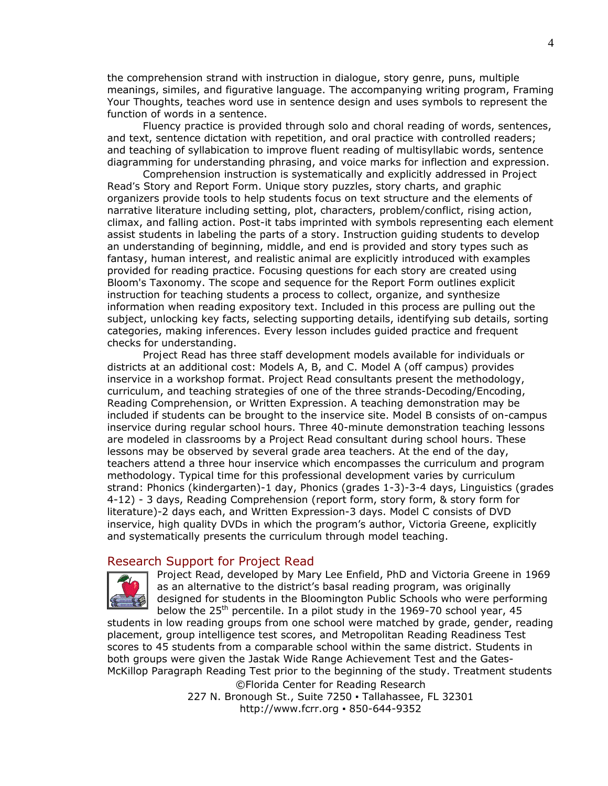the comprehension strand with instruction in dialogue, story genre, puns, multiple meanings, similes, and figurative language. The accompanying writing program, Framing Your Thoughts, teaches word use in sentence design and uses symbols to represent the function of words in a sentence.

Fluency practice is provided through solo and choral reading of words, sentences, and text, sentence dictation with repetition, and oral practice with controlled readers; and teaching of syllabication to improve fluent reading of multisyllabic words, sentence diagramming for understanding phrasing, and voice marks for inflection and expression.

Comprehension instruction is systematically and explicitly addressed in *Project Read's* Story and Report Form. Unique story puzzles, story charts, and graphic organizers provide tools to help students focus on text structure and the elements of narrative literature including setting, plot, characters, problem/conflict, rising action, climax, and falling action. Post-it tabs imprinted with symbols representing each element assist students in labeling the parts of a story. Instruction guiding students to develop an understanding of beginning, middle, and end is provided and story types such as fantasy, human interest, and realistic animal are explicitly introduced with examples provided for reading practice. Focusing questions for each story are created using Bloom's Taxonomy. The scope and sequence for the Report Form outlines explicit instruction for teaching students a process to collect, organize, and synthesize information when reading expository text. Included in this process are pulling out the subject, unlocking key facts, selecting supporting details, identifying sub details, sorting categories, making inferences. Every lesson includes guided practice and frequent checks for understanding.

*Project Read* has three staff development models available for individuals or districts at an additional cost: Models A, B, and C. Model A (off campus) provides inservice in a workshop format. *Project Read* consultants present the methodology, curriculum, and teaching strategies of one of the three strands-Decoding/Encoding, Reading Comprehension, or Written Expression. A teaching demonstration may be included if students can be brought to the inservice site. Model B consists of on-campus inservice during regular school hours. Three 40-minute demonstration teaching lessons are modeled in classrooms by a *Project Read* consultant during school hours. These lessons may be observed by several grade area teachers. At the end of the day, teachers attend a three hour inservice which encompasses the curriculum and program methodology. Typical time for this professional development varies by curriculum strand: Phonics (kindergarten)-1 day, Phonics (grades 1-3)-3-4 days, Linguistics (grades 4-12) - 3 days, Reading Comprehension (report form, story form, & story form for literature)-2 days each, and Written Expression-3 days. Model C consists of DVD inservice, high quality DVDs in which the program's author, Victoria Greene, explicitly and systematically presents the curriculum through model teaching.

#### Research Support for Project Read



*Project Read*, developed by Mary Lee Enfield, PhD and Victoria Greene in 1969 as an alternative to the district's basal reading program, was originally designed for students in the Bloomington Public Schools who were performing below the  $25<sup>th</sup>$  percentile. In a pilot study in the 1969-70 school year, 45

students in low reading groups from one school were matched by grade, gender, reading placement, group intelligence test scores, and Metropolitan Reading Readiness Test scores to 45 students from a comparable school within the same district. Students in both groups were given the Jastak Wide Range Achievement Test and the Gates-McKillop Paragraph Reading Test prior to the beginning of the study. Treatment students ©Florida Center for Reading Research

227 N. Bronough St., Suite 7250 · Tallahassee, FL 32301 http://www.fcrr.org ▪ 850-644-9352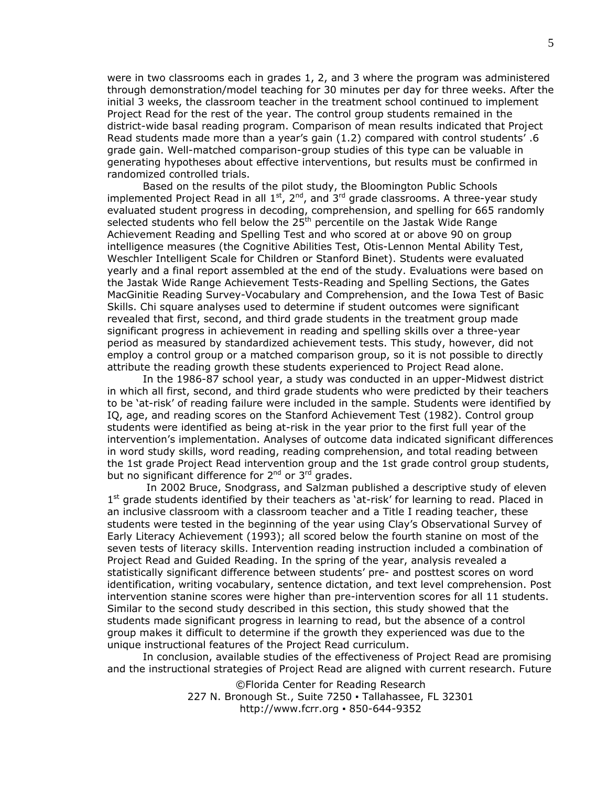were in two classrooms each in grades 1, 2, and 3 where the program was administered through demonstration/model teaching for 30 minutes per day for three weeks. After the initial 3 weeks, the classroom teacher in the treatment school continued to implement *Project Read* for the rest of the year. The control group students remained in the district-wide basal reading program. Comparison of mean results indicated that *Project Read* students made more than a year's gain (1.2) compared with control students' .6 grade gain. Well-matched comparison-group studies of this type can be valuable in generating hypotheses about effective interventions, but results must be confirmed in randomized controlled trials.

Based on the results of the pilot study, the Bloomington Public Schools implemented *Project Read* in all 1<sup>st</sup>, 2<sup>nd</sup>, and 3<sup>rd</sup> grade classrooms. A three-year study evaluated student progress in decoding, comprehension, and spelling for 665 randomly selected students who fell below the 25<sup>th</sup> percentile on the Jastak Wide Range Achievement Reading and Spelling Test and who scored at or above 90 on group intelligence measures (the Cognitive Abilities Test, Otis-Lennon Mental Ability Test, Weschler Intelligent Scale for Children or Stanford Binet). Students were evaluated yearly and a final report assembled at the end of the study. Evaluations were based on the Jastak Wide Range Achievement Tests-Reading and Spelling Sections, the Gates MacGinitie Reading Survey-Vocabulary and Comprehension, and the Iowa Test of Basic Skills. Chi square analyses used to determine if student outcomes were significant revealed that first, second, and third grade students in the treatment group made significant progress in achievement in reading and spelling skills over a three-year period as measured by standardized achievement tests. This study, however, did not employ a control group or a matched comparison group, so it is not possible to directly attribute the reading growth these students experienced to *Project Read* alone.

In the 1986-87 school year, a study was conducted in an upper-Midwest district in which all first, second, and third grade students who were predicted by their teachers to be 'at-risk' of reading failure were included in the sample. Students were identified by IQ, age, and reading scores on the Stanford Achievement Test (1982). Control group students were identified as being at-risk in the year prior to the first full year of the intervention's implementation. Analyses of outcome data indicated significant differences in word study skills, word reading, reading comprehension, and total reading between the 1st grade *Project Read* intervention group and the 1st grade control group students, but no significant difference for  $2^{nd}$  or  $3^{rd}$  grades.

 In 2002 Bruce, Snodgrass, and Salzman published a descriptive study of eleven  $1<sup>st</sup>$  grade students identified by their teachers as 'at-risk' for learning to read. Placed in an inclusive classroom with a classroom teacher and a Title I reading teacher, these students were tested in the beginning of the year using Clay's Observational Survey of Early Literacy Achievement (1993); all scored below the fourth stanine on most of the seven tests of literacy skills. Intervention reading instruction included a combination of *Project Read* and Guided Reading. In the spring of the year, analysis revealed a statistically significant difference between students' pre- and posttest scores on word identification, writing vocabulary, sentence dictation, and text level comprehension. Post intervention stanine scores were higher than pre-intervention scores for all 11 students. Similar to the second study described in this section, this study showed that the students made significant progress in learning to read, but the absence of a control group makes it difficult to determine if the growth they experienced was due to the unique instructional features of the Project Read curriculum.

In conclusion, available studies of the effectiveness of *Project Read* are promising and the instructional strategies of *Project Read* are aligned with current research. Future

> ©Florida Center for Reading Research 227 N. Bronough St., Suite 7250 · Tallahassee, FL 32301 http://www.fcrr.org ▪ 850-644-9352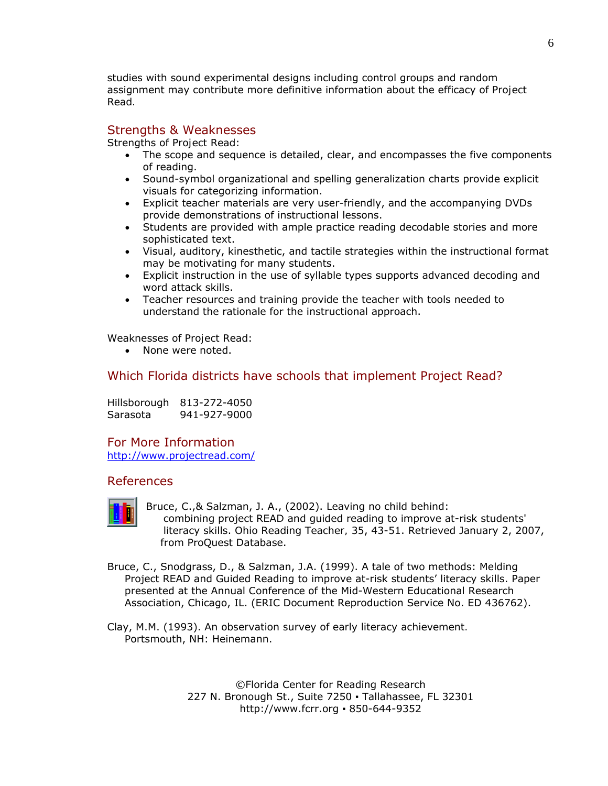studies with sound experimental designs including control groups and random assignment may contribute more definitive information about the efficacy of *Project Read.*

## Strengths & Weaknesses

Strengths of *Project Read*:

- The scope and sequence is detailed, clear, and encompasses the five components of reading.
- Sound-symbol organizational and spelling generalization charts provide explicit visuals for categorizing information.
- Explicit teacher materials are very user-friendly, and the accompanying DVDs provide demonstrations of instructional lessons.
- Students are provided with ample practice reading decodable stories and more sophisticated text.
- Visual, auditory, kinesthetic, and tactile strategies within the instructional format may be motivating for many students.
- Explicit instruction in the use of syllable types supports advanced decoding and word attack skills.
- Teacher resources and training provide the teacher with tools needed to understand the rationale for the instructional approach.

### Weaknesses of *Project Read*:

• None were noted.

# Which Florida districts have schools that implement Project Read?

Hillsborough 813-272-4050 Sarasota 941-927-9000

## For More Information

<http://www.projectread.com/>

## References



Bruce, C.,& Salzman, J. A., (2002). Leaving no child behind: combining project READ and guided reading to improve at-risk students' literacy skills. *Ohio Reading Teacher, 35*, 43-51. Retrieved January 2, 2007, from ProQuest Database.

Bruce, C., Snodgrass, D., & Salzman, J.A. (1999). A tale of two methods: Melding Project READ and Guided Reading to improve at-risk students' literacy skills. Paper presented at the Annual Conference of the Mid-Western Educational Research Association, Chicago, IL. (ERIC Document Reproduction Service No. ED 436762).

Clay, M.M. (1993). *An observation survey of early literacy achievement.* Portsmouth, NH: Heinemann.

> ©Florida Center for Reading Research 227 N. Bronough St., Suite 7250 · Tallahassee, FL 32301 http://www.fcrr.org ▪ 850-644-9352